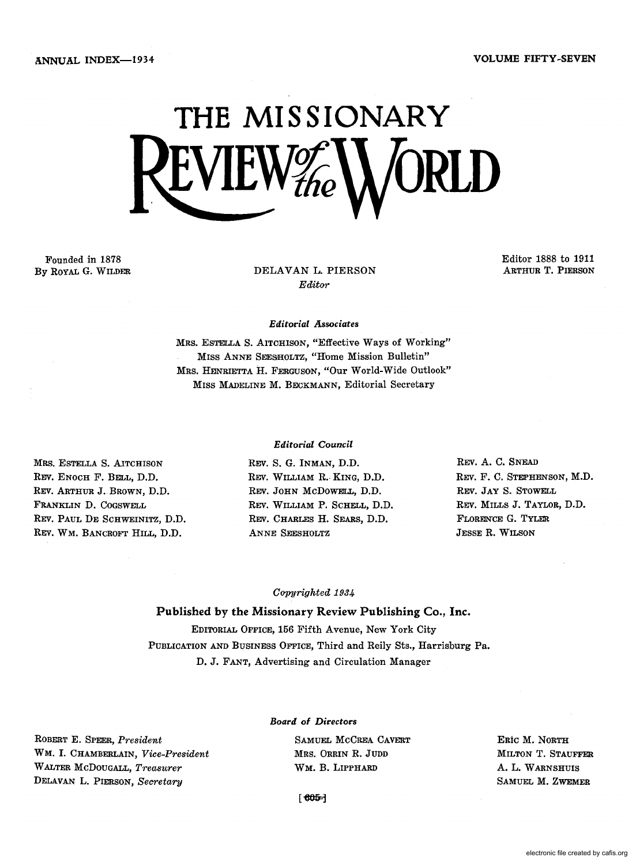

Founded in 1878 By ROYAL G. WILDER

DELAVAN L. PIERSON *Editor* 

Editor 1888 to 1911 ARTHUR T. PIERSON

#### *Editorial Associates*

MRS. ESTELLA S. AITOHISON, "Effective Ways of Working" MISS ANNE SEESHOLTZ, "Home Mission Bulletin" MRS. HENRIETTA H. FERGUSON, "Our World-Wide Outlook" MISS MADELINE M. BECKMANN, Editorial Secretary

#### *Editorial Council*

MRS. ESTELLA S. AITCHISON REV. ENOCH F. BELL, D.D. REV. ARTHUR J.BROWN, D.D. FRANKLIN D. COGSWELL REV. PAUL DE SCHWEINITZ, D.D. REV. WM. BANCROFT HILL, D.D.

REV. S. G. INMAN, D.D. REV. WILLIAM R.· KING, D.D. REV. JOHN McDoWELL, D.D. REV. WILLIAM P. SCHELL, D.D. REV. CHARLES H. SEARS, D.D. ANNE SEESHOLTZ

REV. A. C. SNEAD REV. F. C. STEPHENSON, M.D. REV. JAY S. STOWELL REV. MILLS J. TAYLOR, D.D. FLOREN'CE G. TYLER JESSE R. WILSON

#### *Copyrighted 1934*

Published by the Missionary Review Publishing Co., Inc. EDITORIAL OFFICE, 156 Fifth Avenue, New York City PUBLICATION AND BUSINESS OFFICE, Third and Reily Sts., Harrisburg Pa. D. J. FANT, Advertising and Circulation Manager

#### *Board* of *Directors*

ROBERT E. SPEER, *President*  WM. I. CHAMBERLAIN, *Vice-President*  WALTER McDOUGALL, *Treasurer*  DELAVAN L. PIERSON, *Secretary* 

SAMUEL MCCREA CAVERT MRS. ORRIN R. JUDD WM. B. LIPPHARD

ERic M. NORTH MILTON T. STAUFFER A. L. WARNSHUIS SAMUEL M. ZWEMER

 $[605]$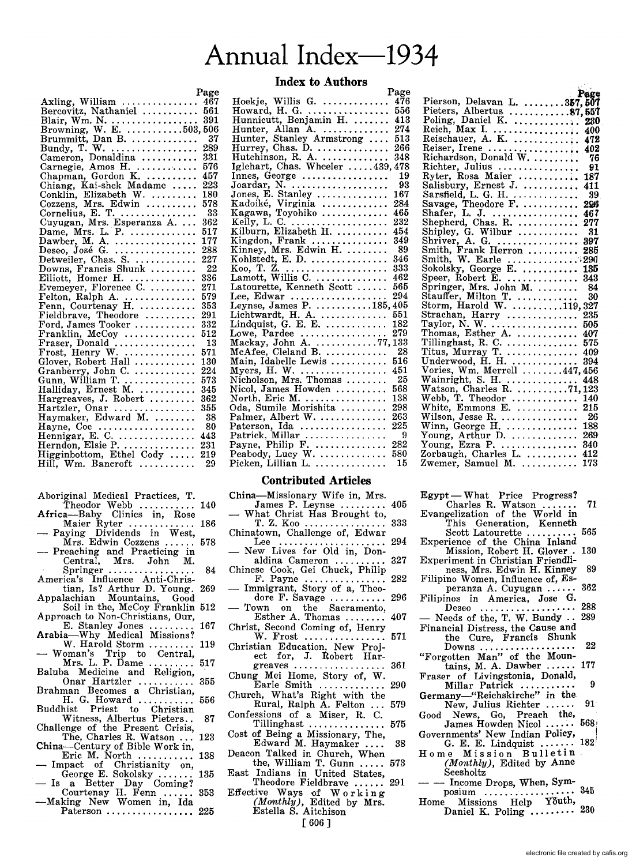## Annual Index-1934

#### Index to Authors

Page

|                                                                | Page |
|----------------------------------------------------------------|------|
| Axling, William<br>Bercovitz, Nathaniel                        | 467  |
|                                                                | 561  |
|                                                                |      |
|                                                                |      |
|                                                                |      |
|                                                                |      |
| Cameron, Donaldina                                             | 331  |
|                                                                | 576  |
|                                                                | 457  |
|                                                                | 223  |
|                                                                | 180  |
|                                                                | 578  |
| Cornelius, E. T. $\ldots$                                      | -33  |
| Cuyugan, Mrs. Esperanza A                                      | 362  |
|                                                                | 517  |
|                                                                | 177  |
| Dame, Mrs. L. P.<br>Dawber, M. A.<br>Deseo, José G.            | 288  |
| Detweiler, Chas. S.                                            | 227  |
| Downs, Francis Shunk                                           | 22   |
| Elliott, Homer H.                                              | 336  |
| Evemeyer, Florence C.                                          | 271  |
|                                                                | 579  |
| Felton, Ralph A.<br>Fenn, Courtenay H.                         | 353  |
| Fieldbrave, Theodore                                           | 291  |
| Ford, James Tooker                                             | 332  |
| Franklin, McCoy                                                | 512  |
|                                                                | 13   |
|                                                                | 571  |
| Glover, Robert Hall                                            | 130  |
|                                                                | 224  |
|                                                                | 573  |
|                                                                | 345  |
|                                                                | 362  |
| Hargreaves, J. Robert<br>Hartzler, Onar<br>Haymaker, Edward M. | 355  |
|                                                                | -38  |
|                                                                | -80  |
| Hayne, Coe<br>Hennigar, E. C.                                  | 443  |
|                                                                | 231  |
| Herndon, Elsie P.<br>Higginbottom, Ethel Cody                  | 219  |
| Hill, Wm. Bancroft                                             | 29   |
|                                                                |      |

| Aboriginal Medical Practices, T.<br>Theodor Webb $\ldots \ldots \ldots \ldots 140$<br>Africa—Baby Clinics in, Rose<br>Maier Ryter  186 |
|----------------------------------------------------------------------------------------------------------------------------------------|
|                                                                                                                                        |
|                                                                                                                                        |
|                                                                                                                                        |
|                                                                                                                                        |
| - Paying Dividends in West,                                                                                                            |
| $Mrs.$ Edwin Cozzens  578                                                                                                              |
| — Preaching and Practicing in                                                                                                          |
| Central, Mrs. John M.                                                                                                                  |
| $\mathcal{A}^{\mathcal{A}}$ and<br>Springer $\dots\dots\dots\dots\dots\dots$<br>84                                                     |
| America's Influence Anti-Chris-                                                                                                        |
| tian, Is? Arthur D. Young. 269                                                                                                         |

- Appalachian Mountains, Good Soil in the, McCoy Franklin 512
- Approach to Non-Christians, Our, E. Stanley Jones .......... 167<br>Arabia—Why Medical Missions?
- a—Why Medical Missions?<br>W. Harold Storm .......... 119 Arabia—why medical missions:<br>W. Harold Storm ......... 119<br>— Woman's Trip to Central,
- Mrs. L. P. Dame ......... 517 Baluba Medicine and Religion,
- Onar Hartzler ........... 355 Brahman Becomes a Christian,
- H. G. Howard ........... 556 Buddhist Priest to Christian
- Witness, Albertus Pieters.. 87<br>Challenge of the Present Crisis,<br>The, Charles R. Watson ... 123
- The, Charles R. Watson ... 123<br>China-Century of Bible Work in,
- Example 2011 Century of Bible Work in,<br>Eric M. North ............ 138<br>— Impact of Christianity on,
- -- Impact of Christianity on,<br>George E. Sokolsky ....... 135<br>-- Is a Better Day Coming? a Better Day Coming:<br>Courtenay H. Fenn ...... 353
- -Making New Women in, Ida Paterson .................... 225

| rage                                                       |
|------------------------------------------------------------|
| Hoekje, Willis G.<br>Howard, H. G.<br>476                  |
| 556                                                        |
| Hunnicutt, Benjamin H.<br>413                              |
| Hunter, Allan A.<br>274                                    |
| Hunter, Stanley Armstrong<br>513                           |
| Hurrey, Chas. D.<br>266                                    |
|                                                            |
| Hutchinson, R. A.  348<br>Iglehart, Chas. Wheeler 439, 478 |
| Innes, George<br>- 19                                      |
| Joardar, N. $\dots \dots \dots \dots \dots$<br>93          |
| Jones, E. Stanley<br>167                                   |
| 284                                                        |
| 465                                                        |
| 232                                                        |
| 454                                                        |
| Kingdon, Frank<br>349                                      |
| Kinney, Mrs. Edwin H.<br>-89                               |
| 346<br>Kohlstedt, E. D.                                    |
| 333                                                        |
| 462                                                        |
| 565                                                        |
| Latourette, Kenneth Scott                                  |
| Lee, Edwar  294<br>Leynse, James P. 185, 405               |
|                                                            |
| 551<br>Lichtwardt, H. A.<br>Lindquist, G. E. E.            |
| 182                                                        |
| Lowe, Pardee<br>279                                        |
| Mackay, John A. 77,133<br>McAfee, Cleland B.  28           |
|                                                            |
| Main, Idabelle Lewis<br>516                                |
| Myers, H. W.<br>Nicholson, Mrs. Thomas<br>451              |
| - 25                                                       |
| Nicol, James Howden<br>568                                 |
| North, Eric M.<br>138                                      |
| Oda, Sumile Morishita<br>298                               |
| Palmer, Albert W.<br>263                                   |
| 225<br>Paterson, Ida                                       |
| - 9                                                        |
| 282                                                        |
| 580                                                        |
| Picken, Lillian L.<br>15                                   |
|                                                            |

#### Contributed Articles

- China-Missionary Wife in, Mrs.
- James P. Leynse ......... 405<br>What Christ Has Brought to,  $T Z K_{.00}$ T. Z. Koo .....................
- Chinatown, Challenge of, Edwar
- Lee ..................... 294 New Lives for Old in, Donaldina Cameron .......
- Chinese Cook, Gei Chuck, Philip F. Payne ................ 282 Immigrant, Story of a, Theo-
- dore F. Savage ............ 296
- Town on the Sacramento, Esther A. Thomas ........ 407
- Christ, Second Coming of, Henry<br>W. Frost Allenanders to 571  $W.$  Frost  $\dots \dots \dots \dots$
- Christian Education, New Project for, J. Robert Har-
- greaves .................. 361 Chung Mei Home, Story of, W.
- Earle Smith ............. Church, What's Right with the
- Rural, Ralph A. Felton ... 579 Confessions of a Miser, R. C.
- Tillinghast ............... 575
- Cost of Being a Missionary, The, Edward M. Haymaker .... 38 Deacon Talked in Church, When
- the, William T. Gunn ..... 573
- East Indians in United States, Theodore Fieldbrave ...... 291
- Effective Ways of Working<br>
(Monthly), Edited by Mrs. Estella S. Aitchison [606 ]

|                                                                                    | Page |
|------------------------------------------------------------------------------------|------|
| Pierson, Delavan L. $357, 507$                                                     |      |
|                                                                                    |      |
|                                                                                    |      |
|                                                                                    |      |
| Reich, Max I.  400<br>Reischauer, A. K.  472                                       |      |
| Reiser, Irene  402                                                                 |      |
| Richardson, Donald W.  76                                                          |      |
|                                                                                    | - 91 |
| Richter, Julius<br>Ryter, Rosa Maier                                               | 187  |
|                                                                                    | 411  |
| Salisbury, Ernest J.<br>Sarsfield, L. G. H.                                        | - 39 |
|                                                                                    | 296  |
|                                                                                    | 467  |
|                                                                                    | -277 |
| Shipley, G. Wilbur                                                                 | - 31 |
|                                                                                    | 397  |
|                                                                                    | 285  |
| Smith, W. Earle 290                                                                |      |
| Sokolsky, George E.                                                                | 135  |
| Speer, Robert E.                                                                   | 343  |
|                                                                                    |      |
| Springer, Mrs. John M.  84<br>Stauffer, Milton T.  30<br>Storm, Harold W. 119, 327 |      |
|                                                                                    |      |
|                                                                                    |      |
|                                                                                    |      |
|                                                                                    |      |
|                                                                                    |      |
|                                                                                    |      |
| Underwood, H. H.                                                                   | 394  |
| Vories, Wm. Merrell 447,456                                                        |      |
|                                                                                    |      |
|                                                                                    |      |
|                                                                                    |      |
|                                                                                    |      |
| Wilson, Jesse R. $\ldots$                                                          | - 26 |
|                                                                                    |      |
|                                                                                    |      |
|                                                                                    |      |
|                                                                                    |      |
| Zwemer, Samuel M.                                                                  | 173  |
|                                                                                    |      |

Egypt - What Price Progress? Charles R. Watson ....... 71 Evangelization of the World in This Generation, Kenneth Scott Latourette ............. 565 Experience of the China Inland Mission, Robert H. Glover . 130 Experiment in Christian Friendliness, Mrs. Edwin H. Kinney 89 Filipino Women, Influence of, Es-<br>peranza A. Cuvugan peranza A. Cuyugan ..... Filipinos in America, Jose G. Deseo ................... 288 - Needs of the, T. W. Bundy  $\cdots$ Financial Distress, the Cause and the Cure, Francis Shunk  $Downs$   $\dots$   $122$ "Forgotten Man" of the Mountains, M. A. Dawber ...... 177 Fraser of Livingstonia, Donald, Millar Patrick ........... 9 Germany-"Reichskirche" in the New, Julius Richter ...... 91 Good News, Go, Preach the,<br>Lamos Howden Nicol 668 James Howden Nicol ...... Governments' New Indian Policy,<br>
G. E. E. Lindquist ....... 182 Home Mission Bulletin (Monthly), Edited by Anne Seesholtz<br>- Income Drops, When, Sym- $--$  Income Drops, When, Sym-<br>posium ..................... 345<br>Home Missions Help Youth, Daniel K. Poling ......... 230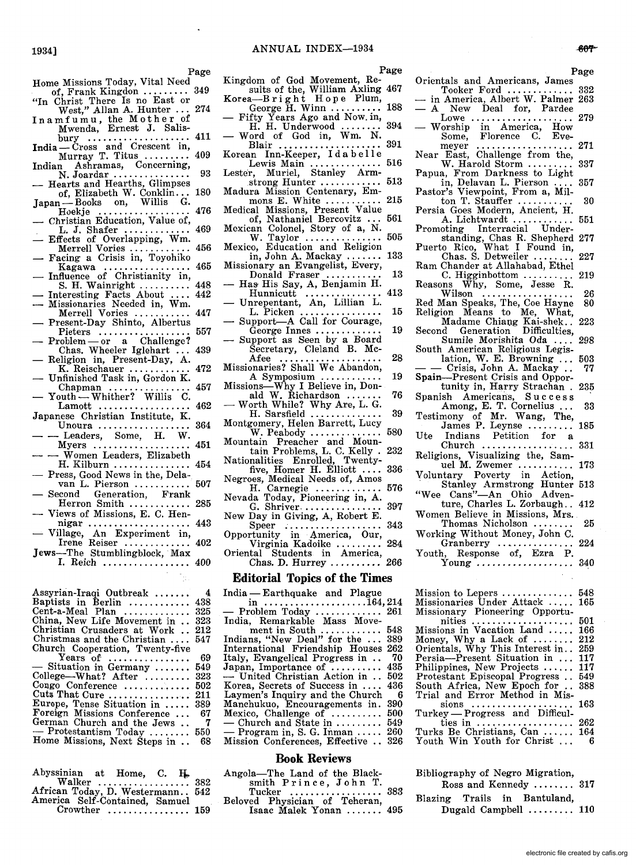Page Orientals and Americans, James Tooker Ford ...................... 332<br>Tooker Ford ................. 332<br>in America, Albert W. Palmer 263 - A New Deal for, Pardee A New Deal for, rardee<br>Lowe ..................... 279<br>— Worship in America, How Some, Florence C. Eve-<br>meyer ....................... 271 meyer ...................<br>Near East, Challenge from the, W. Harold Storm ......... 337 Papua, From Darkness to Light<br>in, Delavan L. Pierson .... 357 Pastor's Viewpoint, From a, Mil-<br>ton T. Stauffer .................. 30 Persia Goes Modern, Ancient, H. A. Lichtwardt ............ 551 Promoting Interracial Understanding, Chas R. Shepherd 277 Puerto Rico, What I Found in, Chas. S. Detweiler ........ 227 Ram Chander at Allahabad, Ethel<br>C. Higginbottom ............... 219 C. Higginbottom .......... 219 Reasons Why, Some, Jesse R. Wilson .................. 26 Red Man Speaks, The, Coe Hayne 80 Religion Means to Me, What, Madame Chial).g Kai-shek .. 223 Sumile Morishita Oda .... 298 lation, W. E. Browning ... 503<br>- Crisis, John A. Mackay.. 77 Spain-Present Crisis and Opportunity in, Harry Strachan . 235 Spanish Americans, Success Among, E. T. Cornelius... 33 Testimony of Mr. Wang, The, James P. Leynse ......... 185 Ute Indians Petition for a Church .................. 331 Religions, Visualizing the, Sam-uel M. Zwemer ........... 173 Voluntary Poverty in Action, . Stanley Armstrong Hunter 513 "Wee Cans"-An Ohio Adventure, Charles L. Zorbaugh.. 412 Thomas Nicholson ........ 25 Working Without Money, John C. Granberry ..•............ 224 young ................... 340 Mission to Lepers ............... 548

Bibliography of Negro Migration,

Ross and Kennedy ........ 317 Blazing Trails in Bantuland,

Dugald Campbell ......... 110

Page

Home Missions Today, Vital Need<br>of, Frank Kingdon ......... 349 of, Frank Kingdon ...

1934]

- "In Christ There Is no East or West," Allan A. Hunter ... 274
- I n a m fum u, the Mot her of Mwenda, Ernest J. Salis-bury .................... 411
- India Čross and Crescent in,<br>
Murray T. Titus .......... 409
- Indian Ashramas, Concerning,<br>
N. Joardar ................. 93<br>
 Hearts and Hearths, Glimpses
- of, Elizabeth W. Conklin... 180
- Japan-Books on, Willis G.
- 
- Hoekje .................. 476 Christian Education, Value of, . L. J. Shafer ............. 469 Effects of Overlapping, Wm.
- Merrell Vories .................... 456<br>
Facing a Crisis in, Toyohiko<br>
Kagawa
- Kagawa .................... 465<br>Influence of Christianity in,<br>S. H. Wainright .......... 448
- S. H. Wainright .......... 448 Interesting Facts About .... 442 Missionaries Needed in, Wm.
- Merrell Vories ...........<br>Present-Day Shinto, Albertus
- Pieters .................. 557 Problem or a Challenge? Chas. Wheeler Iglehart ... 439
- Religion in, Present-Day, A.<br>K. Reischauer ............
- K. Reischauer .............. 472<br>Unfinished Task in, Gordon K.<br>Chapman ................ 457
- Chapman ................. 457<br>Youth- Whither? Willis C.<br>Lamott .................. 462  $Lamott$  ...................
- Japanese Christian Institute, K. Unoura  $\dots\dots\dots\dots\dots$
- Leaders, Some, H. W. Myers ................... 451
- Women Leaders, Elizabeth H. Kilburn ........................ 454<br>- Press, Good News in the, Dela-
- van L. Pierson ............ 507
- Second Generation, Frank Herron Smith ............ 285
- Views of Missions, E. C. Hennigar .................... 443
- Village, An Experiment in, Irene Reiser ............. 402
- Jews-The Stumblingblock, Max I. Reich ................. 400

| Assyrian-Iraqi Outbreak<br>Baptists in Berlin<br>Cent-a-Meal Plan<br>China, New Life Movement in<br>Christian Crusaders at Work<br>Christmas and the Christian<br>Church Cooperation, Twenty-five<br>Years of $\dots\dots\dots\dots\dots\dots$<br>- Situation in Germany<br>College-What? After<br>Congo Conference<br>Cuts That Cure<br>Europe, Tense Situation in<br>Foreign Missions Conference<br>German Church and the Jews<br>$-$ Protestantism Today | -4<br>438<br>325<br>323<br>212<br>547<br>69<br>549<br>323<br>502<br>211<br>389<br>67<br>- 7<br>550 |
|-------------------------------------------------------------------------------------------------------------------------------------------------------------------------------------------------------------------------------------------------------------------------------------------------------------------------------------------------------------------------------------------------------------------------------------------------------------|----------------------------------------------------------------------------------------------------|
| Home Missions, Next Steps in                                                                                                                                                                                                                                                                                                                                                                                                                                | 68                                                                                                 |
|                                                                                                                                                                                                                                                                                                                                                                                                                                                             |                                                                                                    |

| African Today, D. Westermann 542<br>America Self-Contained, Samuel |                                                   |  |  |
|--------------------------------------------------------------------|---------------------------------------------------|--|--|
|                                                                    | Crowther $\ldots \ldots \ldots \ldots \ldots 159$ |  |  |

Kingdom of God Movement, Results of the, William Axling 467<br>Korea—Bright Hope Plum, 199

George H. Winn .......... 188 - Fifty Years Ago and Now. in,

 $-$  Filty Tears Ago and Now. in,<br>
H. H. Underwood ........ 394<br>  $-$  Word of God in, Wm. N.

Blair .................... 391

Korean Inn-Keeper, I dab e 11 e Lewis Main .............. 516 Leste·r, Muriel, Stanley Arm-

- strong Hunter ................ 513
- Madura Mission Centenary, Em- mons E. White ........... 215 Medical Missions, Present Value
- of, Nathaniel Bercovitz ... 561
- Mexican Colonel, Story of a, N.<br>W. Taylor ................. 505<br>Mexico, Education and Religion

in, John A. Mackay ....... 133 Missionary an Evangelist, Every,

- Donald Fraser ............ 13<br>- Has His Say, A, Benjamin H.<br>Hunnicutt ............... 413
- Hunnicutt ............... 413 Unrepentant, An, Lillian L.
- Unrepentant, An, Lillian L.<br>L. Picken .................. 15<br>Support—A Call for Courage,
- $G\acute{e}$ orge Innes .............. 19 Support as Seen by a Board
- Secretary, Cleland B. Mc-Afee .................... 28 Missionaries? Shall We Abandon,
- A Symposium ................ 19
- Missions-Why I Believe in, Don-ald W. Richardson ....... 76 Worth While? Why Are, L. G.
- H. Sarsfield .............. 39
- Montgomery, Helen Barrett, Lucy W. Peabody .............. 580

Mountain Preacher and Moun-tain Problems, L. C. Kelly . 232 Nationalities Enrolled, Twenty-

five, Homer H. Elliott .... 336 Negroes, Medical Needs of, Amos H. Carnegie ............. 576

Nevada Today, Pioneering in, A.

G. Shriver ....................... 397 New Day in Giving, A, Robert E.

Speer ................... 343 Opportunity in America, Our, Virginia Kadoike ......... 284 Oriental Students in America,

Chas. D. Hurrey .......... 266

#### **Editorial Topics of the Times**

India - Earthquake and Plague<br>in  $\ldots$ .....................164, 214 in .................... 164,214 - Problem Today ............. 261 India, Remarkable Mass Movement in South ............ 548 Indians, "New Deal" for the ... 389 International Friendship Houses 262 Italy, Evangelical Progress in .. 70 Japan, Importance of .......... 435 - United Christian Action in .. 502 Korea, Secrets of Success in .... 436 Laymen's Inquiry and the Church 6 Manchukuo, Encouragements in. 390<br>Mexico, Challenge of .......... 500<br>— Church and State in ......... 549<br>— Program in, S. G. Inman ..... 260 Mission Conferences, Effective .. 326

#### **Book Reviews**

Angola-The Land of the Blacksmith P r inc e, J 0 h n T. Tucker .................. 383

Tucker .................... 383<br>Beloved Physician of Teheran, Isaac Malek Yonan ....... 495

| electronic file created by cafis.org |  |  |
|--------------------------------------|--|--|

Page

- 
- 
- 
- 
- 
- 
- 
- Second Generation Difficulties,
- South American Religious Legis-
- 
- 
- 
- 
- 
- 
- 
- Women Believe in Missions, Mrs.
- Youth, Response of, Ezra P.
- Missionaries Under Attack ..... 165 Missio~~ry Pioneering Opportumissionary Pioneering Opportu-<br>nities ....................... 501<br>Missions in Vacation Land ..... 166 missions in vacation Land ..... 166<br>Money, Why a Lack of ........ 212<br>Orientals, Why This Interest in.. 259 Persia-Present Situation in ... 117 Philippines, New Projects ...... 117 Protestant Episcopal Progress .. 549 South Africa, New Epoch for .. 388 Trial and Error Method in Missions .................... 163 I rial and Error Method in Missions<br>sions ..................... 163<br>Turkey — Progress and Difficulties in ................... 262 Turks Be Christians, Can ...... 164 Youth Win Youth for Christ...